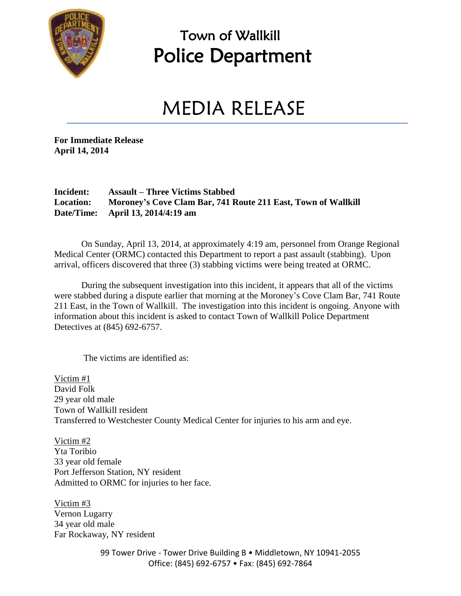

### Town of Wallkill Police Department

## MEDIA RELEASE

**For Immediate Release April 14, 2014**

#### **Incident: Assault – Three Victims Stabbed Location: Moroney's Cove Clam Bar, 741 Route 211 East, Town of Wallkill Date/Time: April 13, 2014/4:19 am**

On Sunday, April 13, 2014, at approximately 4:19 am, personnel from Orange Regional Medical Center (ORMC) contacted this Department to report a past assault (stabbing). Upon arrival, officers discovered that three (3) stabbing victims were being treated at ORMC.

During the subsequent investigation into this incident, it appears that all of the victims were stabbed during a dispute earlier that morning at the Moroney's Cove Clam Bar, 741 Route 211 East, in the Town of Wallkill. The investigation into this incident is ongoing. Anyone with information about this incident is asked to contact Town of Wallkill Police Department Detectives at (845) 692-6757.

The victims are identified as:

Victim #1 David Folk 29 year old male Town of Wallkill resident Transferred to Westchester County Medical Center for injuries to his arm and eye.

Victim #2 Yta Toribio 33 year old female Port Jefferson Station, NY resident Admitted to ORMC for injuries to her face.

Victim #3 Vernon Lugarry 34 year old male Far Rockaway, NY resident

> 99 Tower Drive - Tower Drive Building B · Middletown, NY 10941-2055 Office: (845) 692-6757 • Fax: (845) 692-7864